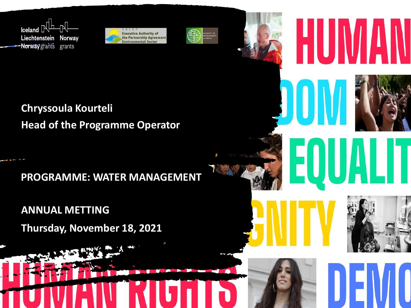





**Chryssoula Kourteli Head of the Programme Operator** 

**PROGRAMME: WATER MANAGEMENT**

**ANNUAL METTING Thursday, November 18, 2021**





Н

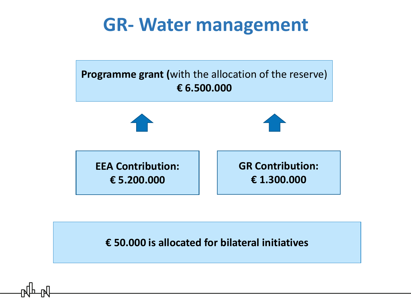

**€ 50.000 is allocated for bilateral initiatives**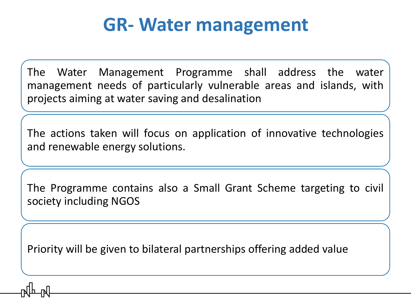The Water Management Programme shall address the water management needs of particularly vulnerable areas and islands, with projects aiming at water saving and desalination

The actions taken will focus on application of innovative technologies and renewable energy solutions.

The Programme contains also a Small Grant Scheme targeting to civil society including NGOS

Priority will be given to bilateral partnerships offering added value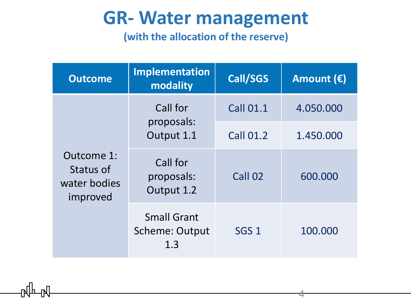**(with the allocation of the reserve)**

| <b>Outcome</b>                                      | <b>Implementation</b><br>modality           | Call/SGS         | Amount $(\epsilon)$ |
|-----------------------------------------------------|---------------------------------------------|------------------|---------------------|
| Outcome 1:<br>Status of<br>water bodies<br>improved | Call for<br>proposals:<br>Output 1.1        | <b>Call 01.1</b> | 4.050.000           |
|                                                     |                                             | <b>Call 01.2</b> | 1.450.000           |
|                                                     | Call for<br>proposals:<br>Output 1.2        | Call 02          | 600.000             |
|                                                     | <b>Small Grant</b><br>Scheme: Output<br>1.3 | SGS <sub>1</sub> | 100.000             |

4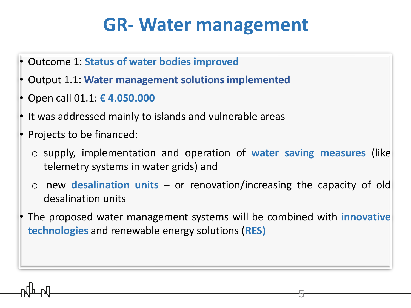- Outcome 1: **Status of water bodies improved**
- Output 1.1: **Water management solutions implemented**
- Open call 01.1: **€ 4.050.000**
- It was addressed mainly to islands and vulnerable areas
- Projects to be financed:
	- o supply, implementation and operation of **water saving measures** (like telemetry systems in water grids) and
	- new **desalination units** or renovation/increasing the capacity of old desalination units
- The proposed water management systems will be combined with **innovative technologies** and renewable energy solutions (**RES)**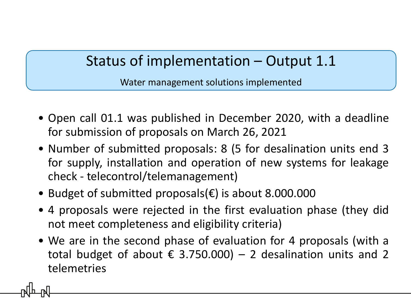Water management solutions implemented

- Οpen call 01.1 was published in December 2020, with a deadline for submission of proposals on March 26, 2021
- Number of submitted proposals: 8 (5 for desalination units end 3 for supply, installation and operation of new systems for leakage check - telecontrol/telemanagement)
- Budget of submitted proposals(€) is about 8.000.000
- 4 proposals were rejected in the first evaluation phase (they did not meet completeness and eligibility criteria)
- We are in the second phase of evaluation for 4 proposals (with a total budget of about  $\epsilon$  3.750.000) – 2 desalination units and 2 telemetries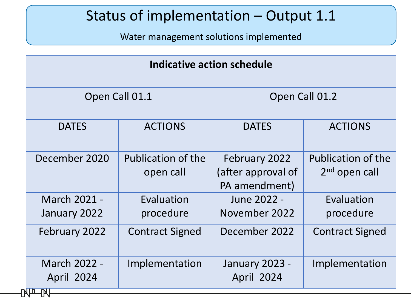Water management solutions implemented

| Indicative action schedule              |                                        |                                                      |                                              |  |  |
|-----------------------------------------|----------------------------------------|------------------------------------------------------|----------------------------------------------|--|--|
| Open Call 01.1                          |                                        | Open Call 01.2                                       |                                              |  |  |
| <b>DATES</b>                            | <b>ACTIONS</b>                         | <b>DATES</b>                                         | <b>ACTIONS</b>                               |  |  |
| December 2020                           | <b>Publication of the</b><br>open call | February 2022<br>(after approval of<br>PA amendment) | <b>Publication of the</b><br>$2nd$ open call |  |  |
| March 2021 -<br>January 2022            | Evaluation<br>procedure                | June 2022 -<br>November 2022                         | Evaluation<br>procedure                      |  |  |
| February 2022                           | <b>Contract Signed</b>                 | December 2022                                        | <b>Contract Signed</b>                       |  |  |
| March 2022 -<br><b>April 2024</b><br>四四 | Implementation                         | January 2023 -<br><b>April 2024</b>                  | Implementation                               |  |  |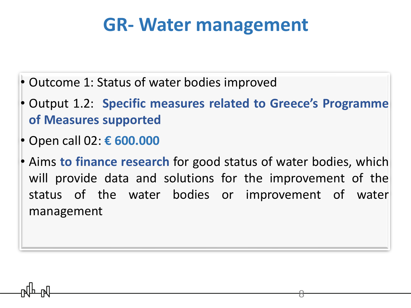- Outcome 1: Status of water bodies improved
- Output 1.2: **Specific measures related to Greece's Programme of Measures supported**
- Open call 02: **€ 600.000**
- Aims **to finance research** for good status of water bodies, which will provide data and solutions for the improvement of the status of the water bodies or improvement of water management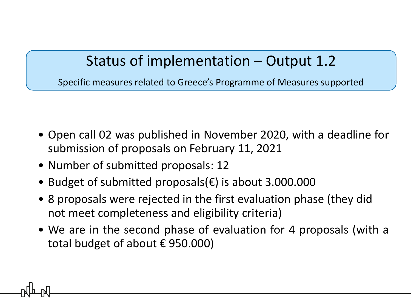Specific measures related to Greece's Programme of Measures supported

- Οpen call 02 was published in November 2020, with a deadline for submission of proposals on February 11, 2021
- Number of submitted proposals: 12
- Budget of submitted proposals(€) is about 3.000.000
- 8 proposals were rejected in the first evaluation phase (they did not meet completeness and eligibility criteria)
- We are in the second phase of evaluation for 4 proposals (with a total budget of about € 950.000)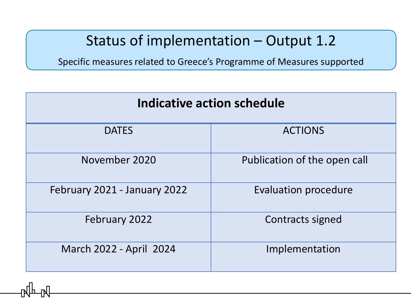Specific measures related to Greece's Programme of Measures supported

| Indicative action schedule   |                              |  |  |
|------------------------------|------------------------------|--|--|
| <b>DATES</b>                 | <b>ACTIONS</b>               |  |  |
| November 2020                | Publication of the open call |  |  |
| February 2021 - January 2022 | <b>Evaluation procedure</b>  |  |  |
| February 2022                | Contracts signed             |  |  |
| March 2022 - April 2024      | Implementation               |  |  |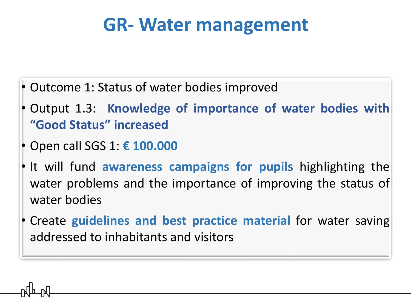- Outcome 1: Status of water bodies improved
- Output 1.3: **Knowledge of importance of water bodies with "Good Status" increased**
- Open call SGS 1: **€ 100.000**
- It will fund **awareness campaigns for pupils** highlighting the water problems and the importance of improving the status of water bodies
- Create **guidelines and best practice material** for water saving addressed to inhabitants and visitors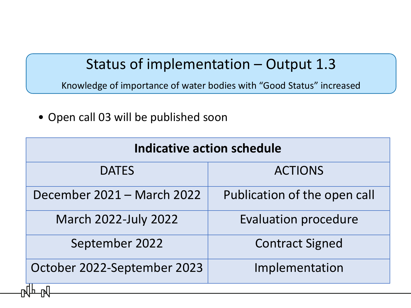Knowledge of importance of water bodies with "Good Status" increased

• Οpen call 03 will be published soon

| <b>Indicative action schedule</b> |  |  |  |
|-----------------------------------|--|--|--|
| <b>ACTIONS</b>                    |  |  |  |
| Publication of the open call      |  |  |  |
| <b>Evaluation procedure</b>       |  |  |  |
| <b>Contract Signed</b>            |  |  |  |
| Implementation                    |  |  |  |
|                                   |  |  |  |